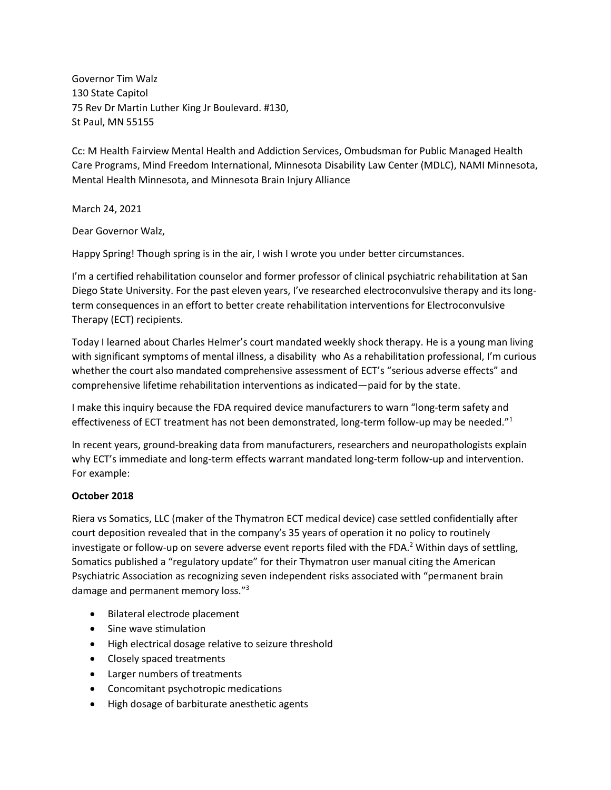Governor Tim Walz 130 State Capitol 75 Rev Dr Martin Luther King Jr Boulevard. #130, St Paul, MN 55155

Cc: M Health Fairview Mental Health and Addiction Services, Ombudsman for Public Managed Health Care Programs, Mind Freedom International, Minnesota Disability Law Center (MDLC), NAMI Minnesota, Mental Health Minnesota, and Minnesota Brain Injury Alliance

March 24, 2021

Dear Governor Walz,

Happy Spring! Though spring is in the air, I wish I wrote you under better circumstances.

I'm a certified rehabilitation counselor and former professor of clinical psychiatric rehabilitation at San Diego State University. For the past eleven years, I've researched electroconvulsive therapy and its longterm consequences in an effort to better create rehabilitation interventions for Electroconvulsive Therapy (ECT) recipients.

Today I learned about Charles Helmer's court mandated weekly shock therapy. He is a young man living with significant symptoms of mental illness, a disability who As a rehabilitation professional, I'm curious whether the court also mandated comprehensive assessment of ECT's "serious adverse effects" and comprehensive lifetime rehabilitation interventions as indicated—paid for by the state.

I make this inquiry because the FDA required device manufacturers to warn "long-term safety and effectiveness of ECT treatment has not been demonstrated, long-term follow-up may be needed."<sup>1</sup>

In recent years, ground-breaking data from manufacturers, researchers and neuropathologists explain why ECT's immediate and long-term effects warrant mandated long-term follow-up and intervention. For example:

# **October 2018**

Riera vs Somatics, LLC (maker of the Thymatron ECT medical device) case settled confidentially after court deposition revealed that in the company's 35 years of operation it no policy to routinely investigate or follow-up on severe adverse event reports filed with the FDA.<sup>2</sup> Within days of settling, Somatics published a "regulatory update" for their Thymatron user manual citing the American Psychiatric Association as recognizing seven independent risks associated with "permanent brain damage and permanent memory loss."<sup>3</sup>

- Bilateral electrode placement
- Sine wave stimulation
- High electrical dosage relative to seizure threshold
- Closely spaced treatments
- Larger numbers of treatments
- Concomitant psychotropic medications
- High dosage of barbiturate anesthetic agents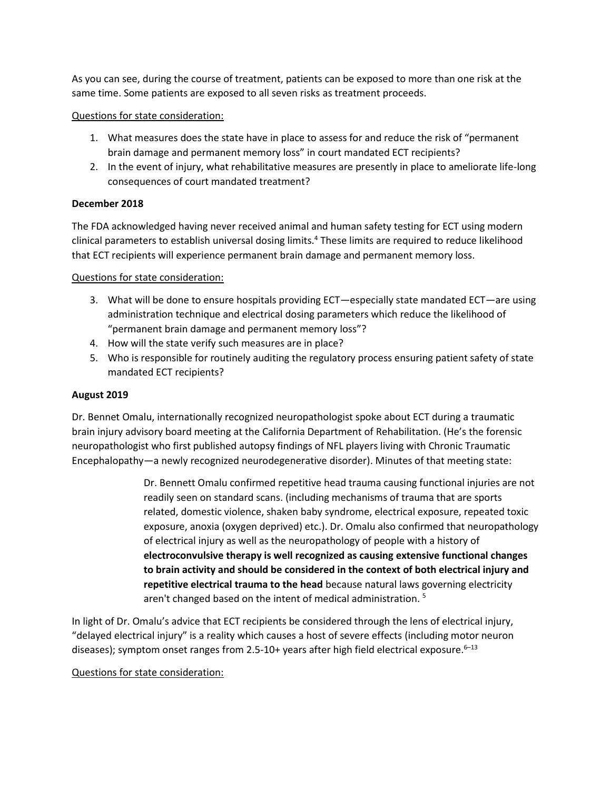As you can see, during the course of treatment, patients can be exposed to more than one risk at the same time. Some patients are exposed to all seven risks as treatment proceeds.

### Questions for state consideration:

- 1. What measures does the state have in place to assess for and reduce the risk of "permanent brain damage and permanent memory loss" in court mandated ECT recipients?
- 2. In the event of injury, what rehabilitative measures are presently in place to ameliorate life-long consequences of court mandated treatment?

## **December 2018**

The FDA acknowledged having never received animal and human safety testing for ECT using modern clinical parameters to establish universal dosing limits.<sup>4</sup> These limits are required to reduce likelihood that ECT recipients will experience permanent brain damage and permanent memory loss.

## Questions for state consideration:

- 3. What will be done to ensure hospitals providing ECT—especially state mandated ECT—are using administration technique and electrical dosing parameters which reduce the likelihood of "permanent brain damage and permanent memory loss"?
- 4. How will the state verify such measures are in place?
- 5. Who is responsible for routinely auditing the regulatory process ensuring patient safety of state mandated ECT recipients?

## **August 2019**

Dr. Bennet Omalu, internationally recognized neuropathologist spoke about ECT during a traumatic brain injury advisory board meeting at the California Department of Rehabilitation. (He's the forensic neuropathologist who first published autopsy findings of NFL players living with Chronic Traumatic Encephalopathy—a newly recognized neurodegenerative disorder). Minutes of that meeting state:

> Dr. Bennett Omalu confirmed repetitive head trauma causing functional injuries are not readily seen on standard scans. (including mechanisms of trauma that are sports related, domestic violence, shaken baby syndrome, electrical exposure, repeated toxic exposure, anoxia (oxygen deprived) etc.). Dr. Omalu also confirmed that neuropathology of electrical injury as well as the neuropathology of people with a history of **electroconvulsive therapy is well recognized as causing extensive functional changes to brain activity and should be considered in the context of both electrical injury and repetitive electrical trauma to the head** because natural laws governing electricity aren't changed based on the intent of medical administration.<sup>5</sup>

In light of Dr. Omalu's advice that ECT recipients be considered through the lens of electrical injury, "delayed electrical injury" is a reality which causes a host of severe effects (including motor neuron diseases); symptom onset ranges from 2.5-10+ years after high field electrical exposure.<sup>6-13</sup>

# Questions for state consideration: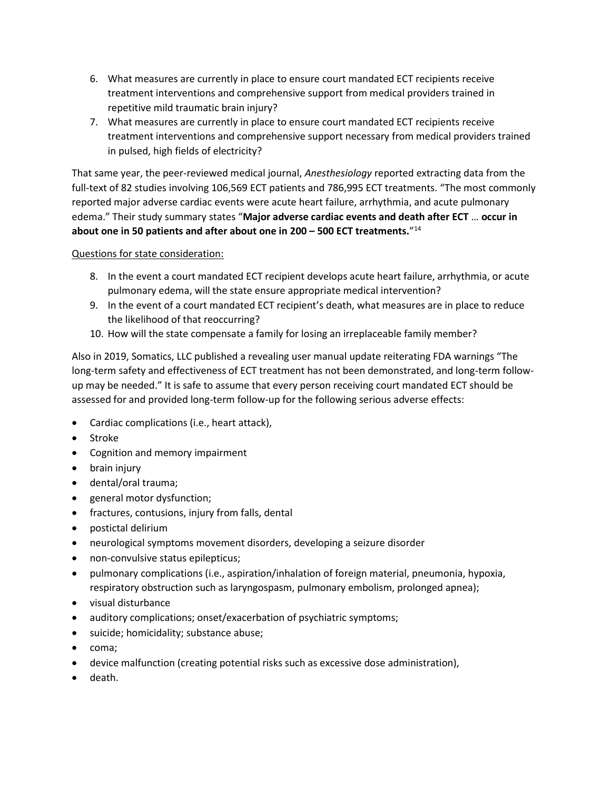- 6. What measures are currently in place to ensure court mandated ECT recipients receive treatment interventions and comprehensive support from medical providers trained in repetitive mild traumatic brain injury?
- 7. What measures are currently in place to ensure court mandated ECT recipients receive treatment interventions and comprehensive support necessary from medical providers trained in pulsed, high fields of electricity?

That same year, the peer-reviewed medical journal, *Anesthesiology* reported extracting data from the full-text of 82 studies involving 106,569 ECT patients and 786,995 ECT treatments. "The most commonly reported major adverse cardiac events were acute heart failure, arrhythmia, and acute pulmonary edema." Their study summary states "**Major adverse cardiac events and death after ECT** … **occur in about one in 50 patients and after about one in 200 – 500 ECT treatments.**" 14

# Questions for state consideration:

- 8. In the event a court mandated ECT recipient develops acute heart failure, arrhythmia, or acute pulmonary edema, will the state ensure appropriate medical intervention?
- 9. In the event of a court mandated ECT recipient's death, what measures are in place to reduce the likelihood of that reoccurring?
- 10. How will the state compensate a family for losing an irreplaceable family member?

Also in 2019, Somatics, LLC published a revealing user manual update reiterating FDA warnings "The long-term safety and effectiveness of ECT treatment has not been demonstrated, and long-term followup may be needed." It is safe to assume that every person receiving court mandated ECT should be assessed for and provided long-term follow-up for the following serious adverse effects:

- Cardiac complications (i.e., heart attack),
- Stroke
- Cognition and memory impairment
- brain injury
- dental/oral trauma;
- general motor dysfunction;
- fractures, contusions, injury from falls, dental
- postictal delirium
- neurological symptoms movement disorders, developing a seizure disorder
- non-convulsive status epilepticus;
- pulmonary complications (i.e., aspiration/inhalation of foreign material, pneumonia, hypoxia, respiratory obstruction such as laryngospasm, pulmonary embolism, prolonged apnea);
- visual disturbance
- auditory complications; onset/exacerbation of psychiatric symptoms;
- suicide; homicidality; substance abuse;
- coma;
- device malfunction (creating potential risks such as excessive dose administration),
- death.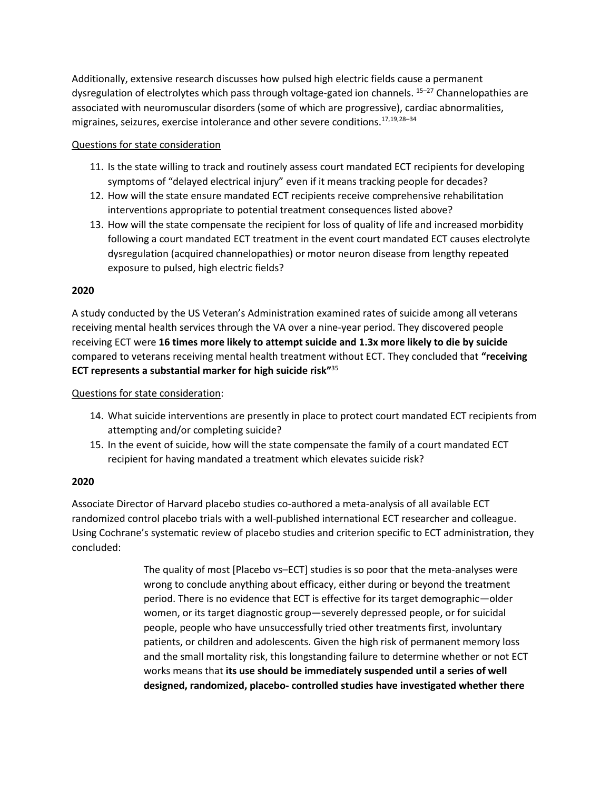Additionally, extensive research discusses how pulsed high electric fields cause a permanent dysregulation of electrolytes which pass through voltage-gated ion channels. <sup>15-27</sup> Channelopathies are associated with neuromuscular disorders (some of which are progressive), cardiac abnormalities, migraines, seizures, exercise intolerance and other severe conditions.17,19,28–<sup>34</sup>

#### Questions for state consideration

- 11. Is the state willing to track and routinely assess court mandated ECT recipients for developing symptoms of "delayed electrical injury" even if it means tracking people for decades?
- 12. How will the state ensure mandated ECT recipients receive comprehensive rehabilitation interventions appropriate to potential treatment consequences listed above?
- 13. How will the state compensate the recipient for loss of quality of life and increased morbidity following a court mandated ECT treatment in the event court mandated ECT causes electrolyte dysregulation (acquired channelopathies) or motor neuron disease from lengthy repeated exposure to pulsed, high electric fields?

#### **2020**

A study conducted by the US Veteran's Administration examined rates of suicide among all veterans receiving mental health services through the VA over a nine-year period. They discovered people receiving ECT were **16 times more likely to attempt suicide and 1.3x more likely to die by suicide** compared to veterans receiving mental health treatment without ECT. They concluded that **"receiving ECT represents a substantial marker for high suicide risk"** 35

Questions for state consideration:

- 14. What suicide interventions are presently in place to protect court mandated ECT recipients from attempting and/or completing suicide?
- 15. In the event of suicide, how will the state compensate the family of a court mandated ECT recipient for having mandated a treatment which elevates suicide risk?

#### **2020**

Associate Director of Harvard placebo studies co-authored a meta-analysis of all available ECT randomized control placebo trials with a well-published international ECT researcher and colleague. Using Cochrane's systematic review of placebo studies and criterion specific to ECT administration, they concluded:

> The quality of most [Placebo vs–ECT] studies is so poor that the meta-analyses were wrong to conclude anything about efficacy, either during or beyond the treatment period. There is no evidence that ECT is effective for its target demographic—older women, or its target diagnostic group—severely depressed people, or for suicidal people, people who have unsuccessfully tried other treatments first, involuntary patients, or children and adolescents. Given the high risk of permanent memory loss and the small mortality risk, this longstanding failure to determine whether or not ECT works means that **its use should be immediately suspended until a series of well designed, randomized, placebo- controlled studies have investigated whether there**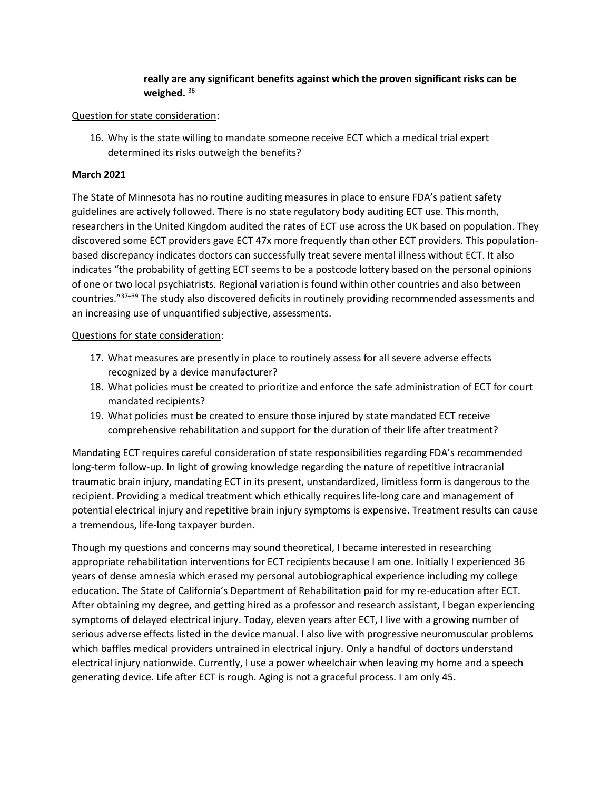# **really are any significant benefits against which the proven significant risks can be weighed.** <sup>36</sup>

#### Question for state consideration:

16. Why is the state willing to mandate someone receive ECT which a medical trial expert determined its risks outweigh the benefits?

#### **March 2021**

The State of Minnesota has no routine auditing measures in place to ensure FDA's patient safety guidelines are actively followed. There is no state regulatory body auditing ECT use. This month, researchers in the United Kingdom audited the rates of ECT use across the UK based on population. They discovered some ECT providers gave ECT 47x more frequently than other ECT providers. This populationbased discrepancy indicates doctors can successfully treat severe mental illness without ECT. It also indicates "the probability of getting ECT seems to be a postcode lottery based on the personal opinions of one or two local psychiatrists. Regional variation is found within other countries and also between countries."<sup>37</sup>–<sup>39</sup> The study also discovered deficits in routinely providing recommended assessments and an increasing use of unquantified subjective, assessments.

#### Questions for state consideration:

- 17. What measures are presently in place to routinely assess for all severe adverse effects recognized by a device manufacturer?
- 18. What policies must be created to prioritize and enforce the safe administration of ECT for court mandated recipients?
- 19. What policies must be created to ensure those injured by state mandated ECT receive comprehensive rehabilitation and support for the duration of their life after treatment?

Mandating ECT requires careful consideration of state responsibilities regarding FDA's recommended long-term follow-up. In light of growing knowledge regarding the nature of repetitive intracranial traumatic brain injury, mandating ECT in its present, unstandardized, limitless form is dangerous to the recipient. Providing a medical treatment which ethically requires life-long care and management of potential electrical injury and repetitive brain injury symptoms is expensive. Treatment results can cause a tremendous, life-long taxpayer burden.

Though my questions and concerns may sound theoretical, I became interested in researching appropriate rehabilitation interventions for ECT recipients because I am one. Initially I experienced 36 years of dense amnesia which erased my personal autobiographical experience including my college education. The State of California's Department of Rehabilitation paid for my re-education after ECT. After obtaining my degree, and getting hired as a professor and research assistant, I began experiencing symptoms of delayed electrical injury. Today, eleven years after ECT, I live with a growing number of serious adverse effects listed in the device manual. I also live with progressive neuromuscular problems which baffles medical providers untrained in electrical injury. Only a handful of doctors understand electrical injury nationwide. Currently, I use a power wheelchair when leaving my home and a speech generating device. Life after ECT is rough. Aging is not a graceful process. I am only 45.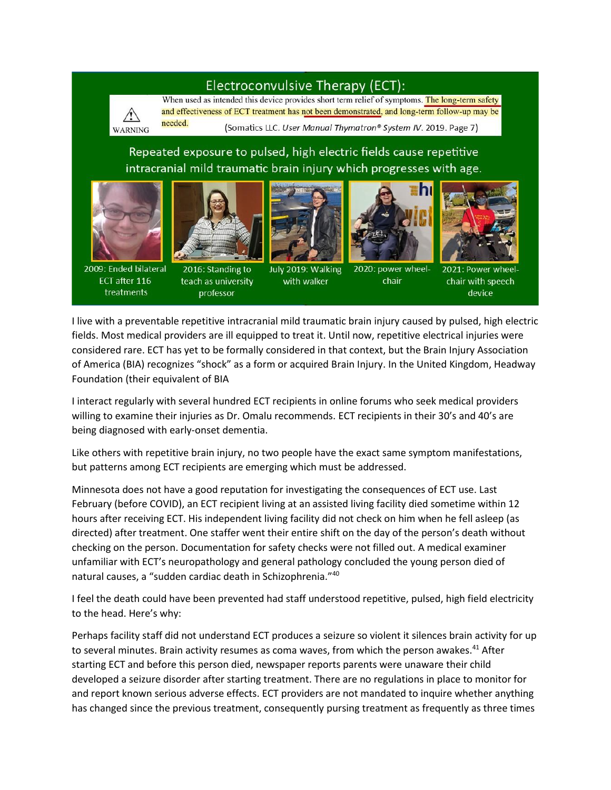# Electroconvulsive Therapy (ECT):



When used as intended this device provides short term relief of symptoms. The long-term safety and effectiveness of ECT treatment has not been demonstrated, and long-term follow-up may be needed.

(Somatics LLC. User Manual Thymatron® System IV. 2019. Page 7)

Repeated exposure to pulsed, high electric fields cause repetitive intracranial mild traumatic brain injury which progresses with age.





professor

2009: Ended bilateral ECT after 116 treatments

July 2019: Walking 2016: Standing to with walker teach as university





chair



device

I live with a preventable repetitive intracranial mild traumatic brain injury caused by pulsed, high electric fields. Most medical providers are ill equipped to treat it. Until now, repetitive electrical injuries were considered rare. ECT has yet to be formally considered in that context, but the Brain Injury Association of America (BIA) recognizes "shock" as a form or acquired Brain Injury. In the United Kingdom, Headway Foundation (their equivalent of BIA

I interact regularly with several hundred ECT recipients in online forums who seek medical providers willing to examine their injuries as Dr. Omalu recommends. ECT recipients in their 30's and 40's are being diagnosed with early-onset dementia.

Like others with repetitive brain injury, no two people have the exact same symptom manifestations, but patterns among ECT recipients are emerging which must be addressed.

Minnesota does not have a good reputation for investigating the consequences of ECT use. Last February (before COVID), an ECT recipient living at an assisted living facility died sometime within 12 hours after receiving ECT. His independent living facility did not check on him when he fell asleep (as directed) after treatment. One staffer went their entire shift on the day of the person's death without checking on the person. Documentation for safety checks were not filled out. A medical examiner unfamiliar with ECT's neuropathology and general pathology concluded the young person died of natural causes, a "sudden cardiac death in Schizophrenia."<sup>40</sup>

I feel the death could have been prevented had staff understood repetitive, pulsed, high field electricity to the head. Here's why:

Perhaps facility staff did not understand ECT produces a seizure so violent it silences brain activity for up to several minutes. Brain activity resumes as coma waves, from which the person awakes.<sup>41</sup> After starting ECT and before this person died, newspaper reports parents were unaware their child developed a seizure disorder after starting treatment. There are no regulations in place to monitor for and report known serious adverse effects. ECT providers are not mandated to inquire whether anything has changed since the previous treatment, consequently pursing treatment as frequently as three times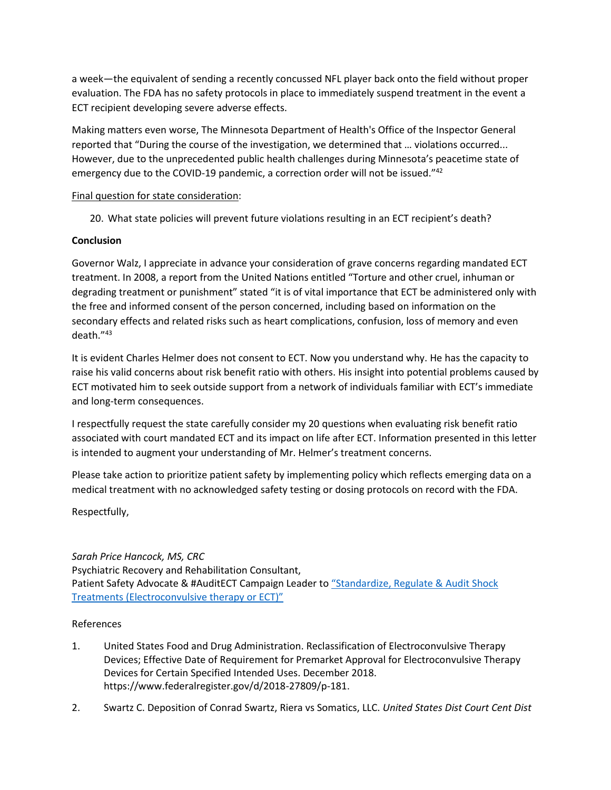a week—the equivalent of sending a recently concussed NFL player back onto the field without proper evaluation. The FDA has no safety protocols in place to immediately suspend treatment in the event a ECT recipient developing severe adverse effects.

Making matters even worse, The Minnesota Department of Health's Office of the Inspector General reported that "During the course of the investigation, we determined that … violations occurred... However, due to the unprecedented public health challenges during Minnesota's peacetime state of emergency due to the COVID-19 pandemic, a correction order will not be issued."<sup>42</sup>

### Final question for state consideration:

20. What state policies will prevent future violations resulting in an ECT recipient's death?

# **Conclusion**

Governor Walz, I appreciate in advance your consideration of grave concerns regarding mandated ECT treatment. In 2008, a report from the United Nations entitled "Torture and other cruel, inhuman or degrading treatment or punishment" stated "it is of vital importance that ECT be administered only with the free and informed consent of the person concerned, including based on information on the secondary effects and related risks such as heart complications, confusion, loss of memory and even death." 43

It is evident Charles Helmer does not consent to ECT. Now you understand why. He has the capacity to raise his valid concerns about risk benefit ratio with others. His insight into potential problems caused by ECT motivated him to seek outside support from a network of individuals familiar with ECT's immediate and long-term consequences.

I respectfully request the state carefully consider my 20 questions when evaluating risk benefit ratio associated with court mandated ECT and its impact on life after ECT. Information presented in this letter is intended to augment your understanding of Mr. Helmer's treatment concerns.

Please take action to prioritize patient safety by implementing policy which reflects emerging data on a medical treatment with no acknowledged safety testing or dosing protocols on record with the FDA.

Respectfully,

# *Sarah Price Hancock, MS, CRC* Psychiatric Recovery and Rehabilitation Consultant, Patient Safety Advocate & #AuditECT Campaign Leader to ["Standardize, Regulate & Audit Shock](https://www.change.org/p/standardize-regulate-audit-shock-treatments-electroconvulsive-therapy-or-ect/u/25316247)  [Treatments \(Electroconvulsive therapy or ECT\)"](https://www.change.org/p/standardize-regulate-audit-shock-treatments-electroconvulsive-therapy-or-ect/u/25316247)

# References

- 1. United States Food and Drug Administration. Reclassification of Electroconvulsive Therapy Devices; Effective Date of Requirement for Premarket Approval for Electroconvulsive Therapy Devices for Certain Specified Intended Uses. December 2018. https://www.federalregister.gov/d/2018-27809/p-181.
- 2. Swartz C. Deposition of Conrad Swartz, Riera vs Somatics, LLC. *United States Dist Court Cent Dist*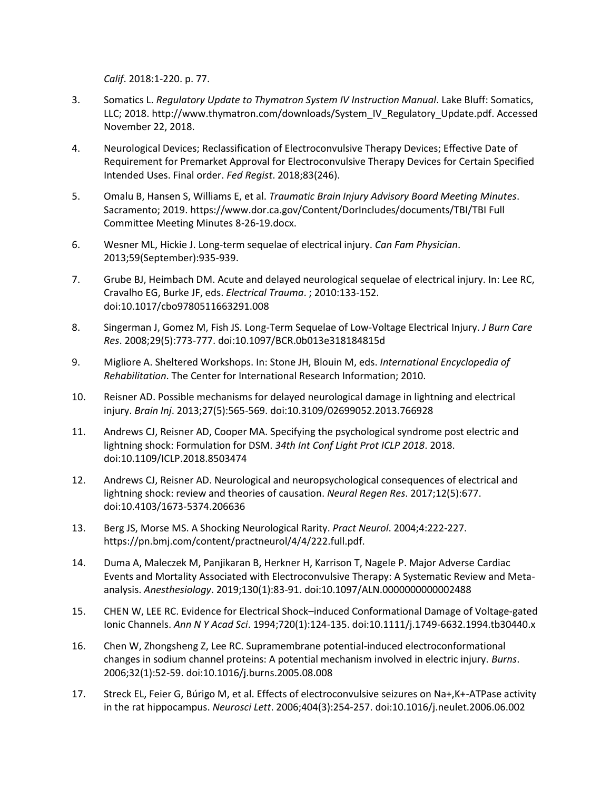*Calif*. 2018:1-220. p. 77.

- 3. Somatics L. *Regulatory Update to Thymatron System IV Instruction Manual*. Lake Bluff: Somatics, LLC; 2018. http://www.thymatron.com/downloads/System\_IV\_Regulatory\_Update.pdf. Accessed November 22, 2018.
- 4. Neurological Devices; Reclassification of Electroconvulsive Therapy Devices; Effective Date of Requirement for Premarket Approval for Electroconvulsive Therapy Devices for Certain Specified Intended Uses. Final order. *Fed Regist*. 2018;83(246).
- 5. Omalu B, Hansen S, Williams E, et al. *Traumatic Brain Injury Advisory Board Meeting Minutes*. Sacramento; 2019. https://www.dor.ca.gov/Content/DorIncludes/documents/TBI/TBI Full Committee Meeting Minutes 8-26-19.docx.
- 6. Wesner ML, Hickie J. Long-term sequelae of electrical injury. *Can Fam Physician*. 2013;59(September):935-939.
- 7. Grube BJ, Heimbach DM. Acute and delayed neurological sequelae of electrical injury. In: Lee RC, Cravalho EG, Burke JF, eds. *Electrical Trauma*. ; 2010:133-152. doi:10.1017/cbo9780511663291.008
- 8. Singerman J, Gomez M, Fish JS. Long-Term Sequelae of Low-Voltage Electrical Injury. *J Burn Care Res*. 2008;29(5):773-777. doi:10.1097/BCR.0b013e318184815d
- 9. Migliore A. Sheltered Workshops. In: Stone JH, Blouin M, eds. *International Encyclopedia of Rehabilitation*. The Center for International Research Information; 2010.
- 10. Reisner AD. Possible mechanisms for delayed neurological damage in lightning and electrical injury. *Brain Inj*. 2013;27(5):565-569. doi:10.3109/02699052.2013.766928
- 11. Andrews CJ, Reisner AD, Cooper MA. Specifying the psychological syndrome post electric and lightning shock: Formulation for DSM. *34th Int Conf Light Prot ICLP 2018*. 2018. doi:10.1109/ICLP.2018.8503474
- 12. Andrews CJ, Reisner AD. Neurological and neuropsychological consequences of electrical and lightning shock: review and theories of causation. *Neural Regen Res*. 2017;12(5):677. doi:10.4103/1673-5374.206636
- 13. Berg JS, Morse MS. A Shocking Neurological Rarity. *Pract Neurol*. 2004;4:222-227. https://pn.bmj.com/content/practneurol/4/4/222.full.pdf.
- 14. Duma A, Maleczek M, Panjikaran B, Herkner H, Karrison T, Nagele P. Major Adverse Cardiac Events and Mortality Associated with Electroconvulsive Therapy: A Systematic Review and Metaanalysis. *Anesthesiology*. 2019;130(1):83-91. doi:10.1097/ALN.0000000000002488
- 15. CHEN W, LEE RC. Evidence for Electrical Shock–induced Conformational Damage of Voltage-gated Ionic Channels. *Ann N Y Acad Sci*. 1994;720(1):124-135. doi:10.1111/j.1749-6632.1994.tb30440.x
- 16. Chen W, Zhongsheng Z, Lee RC. Supramembrane potential-induced electroconformational changes in sodium channel proteins: A potential mechanism involved in electric injury. *Burns*. 2006;32(1):52-59. doi:10.1016/j.burns.2005.08.008
- 17. Streck EL, Feier G, Búrigo M, et al. Effects of electroconvulsive seizures on Na+,K+-ATPase activity in the rat hippocampus. *Neurosci Lett*. 2006;404(3):254-257. doi:10.1016/j.neulet.2006.06.002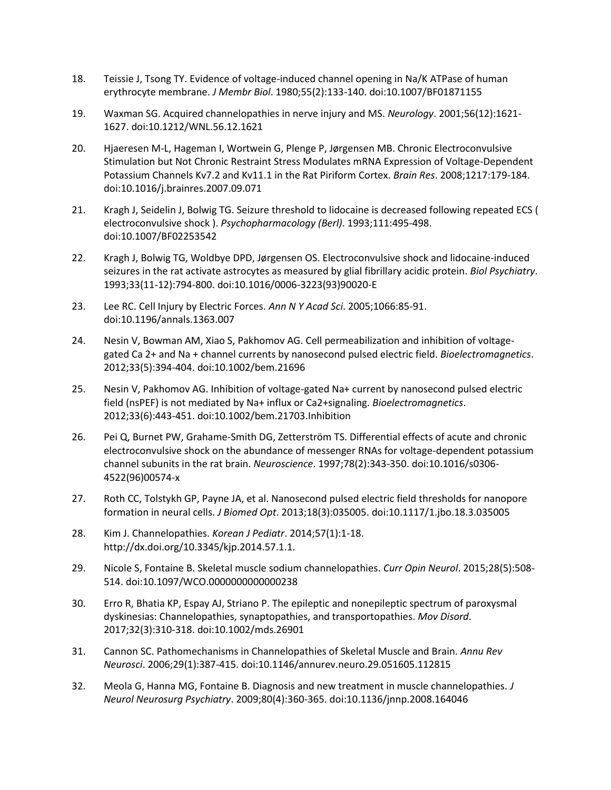- 18. Teissie J, Tsong TY. Evidence of voltage-induced channel opening in Na/K ATPase of human erythrocyte membrane. *J Membr Biol*. 1980;55(2):133-140. doi:10.1007/BF01871155
- 19. Waxman SG. Acquired channelopathies in nerve injury and MS. *Neurology*. 2001;56(12):1621- 1627. doi:10.1212/WNL.56.12.1621
- 20. Hjaeresen M-L, Hageman I, Wortwein G, Plenge P, Jørgensen MB. Chronic Electroconvulsive Stimulation but Not Chronic Restraint Stress Modulates mRNA Expression of Voltage-Dependent Potassium Channels Kv7.2 and Kv11.1 in the Rat Piriform Cortex. *Brain Res*. 2008;1217:179-184. doi:10.1016/j.brainres.2007.09.071
- 21. Kragh J, Seidelin J, Bolwig TG. Seizure threshold to lidocaine is decreased following repeated ECS ( electroconvulsive shock ). *Psychopharmacology (Berl)*. 1993;111:495-498. doi:10.1007/BF02253542
- 22. Kragh J, Bolwig TG, Woldbye DPD, Jørgensen OS. Electroconvulsive shock and lidocaine-induced seizures in the rat activate astrocytes as measured by glial fibrillary acidic protein. *Biol Psychiatry*. 1993;33(11-12):794-800. doi:10.1016/0006-3223(93)90020-E
- 23. Lee RC. Cell Injury by Electric Forces. *Ann N Y Acad Sci*. 2005;1066:85-91. doi:10.1196/annals.1363.007
- 24. Nesin V, Bowman AM, Xiao S, Pakhomov AG. Cell permeabilization and inhibition of voltagegated Ca 2+ and Na + channel currents by nanosecond pulsed electric field. *Bioelectromagnetics*. 2012;33(5):394-404. doi:10.1002/bem.21696
- 25. Nesin V, Pakhomov AG. Inhibition of voltage-gated Na+ current by nanosecond pulsed electric field (nsPEF) is not mediated by Na+ influx or Ca2+signaling. *Bioelectromagnetics*. 2012;33(6):443-451. doi:10.1002/bem.21703.Inhibition
- 26. Pei Q, Burnet PW, Grahame-Smith DG, Zetterström TS. Differential effects of acute and chronic electroconvulsive shock on the abundance of messenger RNAs for voltage-dependent potassium channel subunits in the rat brain. *Neuroscience*. 1997;78(2):343-350. doi:10.1016/s0306- 4522(96)00574-x
- 27. Roth CC, Tolstykh GP, Payne JA, et al. Nanosecond pulsed electric field thresholds for nanopore formation in neural cells. *J Biomed Opt*. 2013;18(3):035005. doi:10.1117/1.jbo.18.3.035005
- 28. Kim J. Channelopathies. *Korean J Pediatr*. 2014;57(1):1-18. http://dx.doi.org/10.3345/kjp.2014.57.1.1.
- 29. Nicole S, Fontaine B. Skeletal muscle sodium channelopathies. *Curr Opin Neurol*. 2015;28(5):508- 514. doi:10.1097/WCO.0000000000000238
- 30. Erro R, Bhatia KP, Espay AJ, Striano P. The epileptic and nonepileptic spectrum of paroxysmal dyskinesias: Channelopathies, synaptopathies, and transportopathies. *Mov Disord*. 2017;32(3):310-318. doi:10.1002/mds.26901
- 31. Cannon SC. Pathomechanisms in Channelopathies of Skeletal Muscle and Brain. *Annu Rev Neurosci*. 2006;29(1):387-415. doi:10.1146/annurev.neuro.29.051605.112815
- 32. Meola G, Hanna MG, Fontaine B. Diagnosis and new treatment in muscle channelopathies. *J Neurol Neurosurg Psychiatry*. 2009;80(4):360-365. doi:10.1136/jnnp.2008.164046